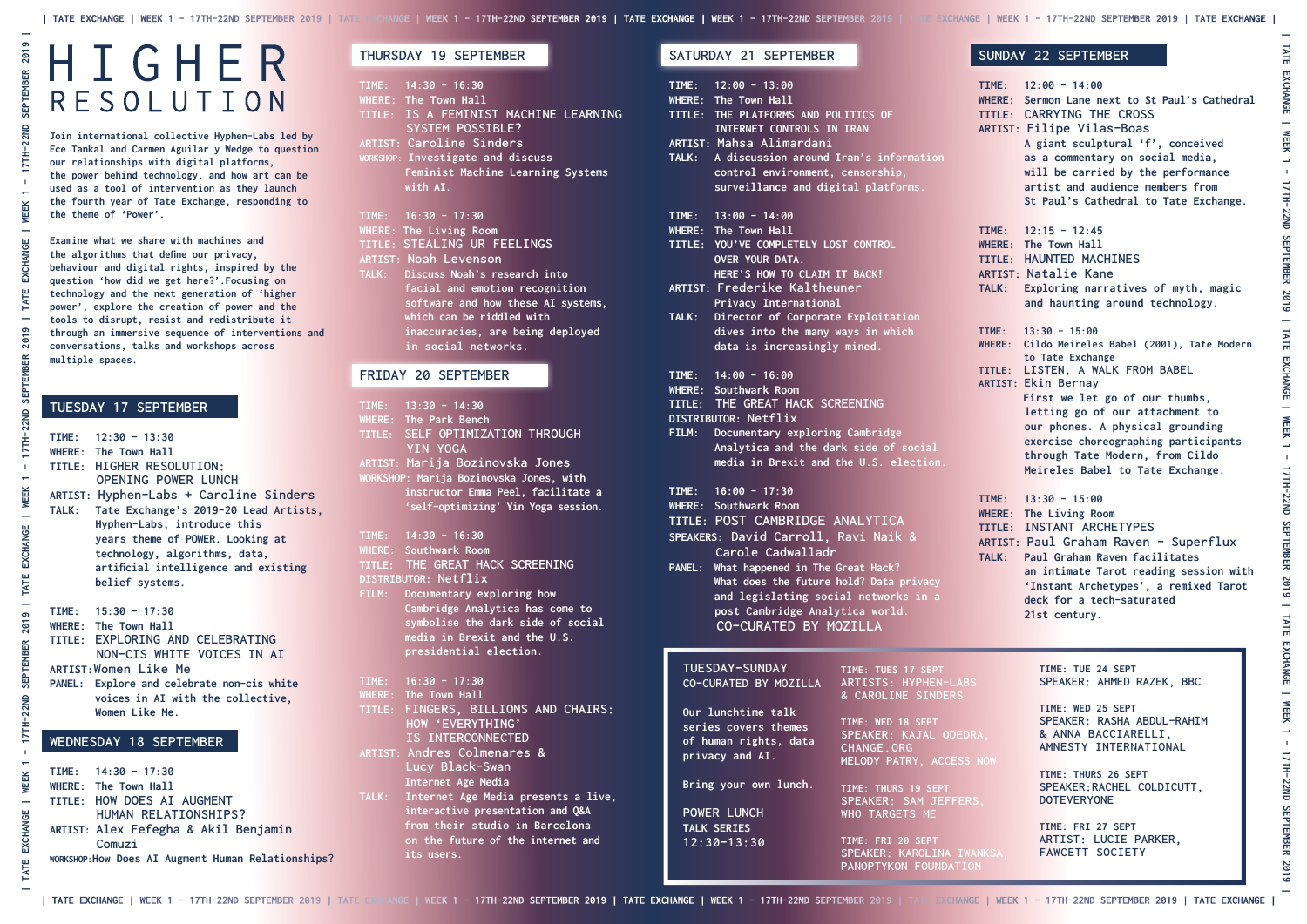## HIGHER RESOLUTION

**TIME: FRI 27 SEPT ARTIST: LUCIE PARKER, FAWCETT SOCIETY**

## **THURSDAY 19 SEPTEMBER**

- **TIME: 14:30 16:30**
- **WHERE: The Town Hall TITLE: IS A FEMINIST MACHINE LEARNING SYSTEM POSSIBLE? ARTIST: Caroline Sinders**
- **WORKSHOP: Investigate and discuss Feminist Machine Learning Systems with AI.**
- **TIME: 16:30 17:30**
- **WHERE: The Living Room**
- **TITLE: STEALING UR FEELINGS**
- **ARTIST: Noah Levenson**
- **TALK: Discuss Noah's research into facial and emotion recognition software and how these AI systems, which can be riddled with inaccuracies, are being deployed in social networks.**

## **FRIDAY 20 SEPTEMBER**

| TALK:         | TIME: $12:00 - 13:00$<br>WHERE: The Town Hall<br>TITLE: THE PLATFORMS AND POLITICS OF<br><b>INTERNET CONTROLS IN IRAN</b><br><b>ARTIST: Mahsa Alimardani</b><br>A discussion around Iran's information<br>control environment, censorship,<br>surveillance and digital platforms.                                                        |                                                                                              | TIME:<br><b>WHERE:</b><br>TITLE:<br><b>ARTIST</b>                 |
|---------------|------------------------------------------------------------------------------------------------------------------------------------------------------------------------------------------------------------------------------------------------------------------------------------------------------------------------------------------|----------------------------------------------------------------------------------------------|-------------------------------------------------------------------|
|               | TIME: $13:00 - 14:00$<br><b>WHERE:</b> The Town Hall<br>TITLE: YOU'VE COMPLETELY LOST CONTROL<br>OVER YOUR DATA.<br>HERE'S HOW TO CLAIM IT BACK!<br><b>ARTIST: Frederike Kaltheuner</b>                                                                                                                                                  |                                                                                              | TIME:<br><b>WHERE:</b><br>TITLE:<br><b>ARTIST</b><br>TALK:        |
| TALK:         | <b>Privacy International</b><br>Director of Corporate Exploitation<br>dives into the many ways in which<br>data is increasingly mined.                                                                                                                                                                                                   |                                                                                              | TIME:<br><b>WHERE:</b>                                            |
| FILM:         | TIME: $14:00 - 16:00$<br><b>WHERE: Southwark Room</b><br>TITLE: THE GREAT HACK SCREENING<br>DISTRIBUTOR: Netflix<br>Documentary exploring Cambridge<br>Analytica and the dark side of social<br>media in Brexit and the U.S. election.                                                                                                   |                                                                                              | TITLE:<br><b>ARTIST:</b>                                          |
| <b>PANEL:</b> | TIME: $16:00 - 17:30$<br><b>WHERE: Southwark Room</b><br>TITLE: POST CAMBRIDGE ANALYTICA<br>SPEAKERS: David Carroll, Ravi Naik &<br>Carole Cadwalladr<br>What happened in The Great Hack?<br>What does the future hold? Data privacy<br>and legislating social networks in a<br>post Cambridge Analytica world.<br>CO-CURATED BY MOZILLA |                                                                                              | TIME:<br><b>WHERE:</b><br>TITLE:<br><b>ARTIST</b><br><b>TALK:</b> |
|               | <b>TUESDAY-SUNDAY</b><br>CO-CURATED BY MOZILLA                                                                                                                                                                                                                                                                                           | TIME: TUES 17 SEPT<br>ARTISTS: HYPHEN-LABS<br>& CAROLINE SINDERS                             |                                                                   |
|               | Our lunchtime talk<br>series covers themes<br>of human rights, data<br>privacy and AI.                                                                                                                                                                                                                                                   | TIME: WED 18 SEPT<br>SPEAKER: KAJAL ODEDRA,<br><b>CHANGE.ORG</b><br>MELODY PATRY, ACCESS NOW |                                                                   |
|               | Bring your own lunch.<br><b>POWER LUNCH</b><br><b>TALK SERIES</b><br>$12:30 - 13:30$                                                                                                                                                                                                                                                     | TIME: THURS 19 SEPT<br>SPEAKER: SAM JEFFERS,<br>WHO TARGETS ME<br>TIME: FRI 20 SEPT          |                                                                   |
|               |                                                                                                                                                                                                                                                                                                                                          | SPEAKER: KAROLINA IWANKSA,<br>PANOPTYKON FOUNDATION                                          |                                                                   |

|        | TIME: $13:30 - 14:30$                   |
|--------|-----------------------------------------|
|        | <b>WHERE:</b> The Park Bench            |
|        | TITLE: SELF OPTIMIZATION THROUGH        |
|        | YIN YOGA                                |
|        | ARTIST: Marija Bozinovska Jones         |
|        | WORKSHOP: Marija Bozinovska Jones, with |
|        | instructor Emma Peel, facilitate a      |
|        | 'self-optimizing' Yin Yoga session.     |
|        |                                         |
|        | TIME: $14:30 - 16:30$                   |
|        | <b>WHERE: Southwark Room</b>            |
|        | TITLE: THE GREAT HACK SCREENING         |
|        | DISTRIBUTOR: Netflix                    |
|        | FILM: Documentary exploring how         |
|        | Cambridge Analytica has come to         |
|        |                                         |
|        | symbolise the dark side of social       |
|        | media in Brexit and the U.S.            |
|        | presidential election.                  |
|        |                                         |
|        | TIME: $16:30 - 17:30$                   |
|        | WHERE: The Town Hall                    |
| TITLE: | FINGERS, BILLIONS AND CHAIRS:           |
|        | HOW 'EVERYTHING'                        |
|        | IS INTERCONNECTED                       |
|        | <b>ARTIST: Andres Colmenares &amp;</b>  |
|        | Lucy Black-Swan                         |
|        | Internet Age Media                      |
| TALK:  | Internet Age Media presents a live,     |
|        | interactive presentation and Q&A        |
|        | from their studio in Barcelona          |

 **on the future of the internet and** 

 **its users.**

## **SATURDAY 21 SEPTEMBER**

|       | $TIME: 12:00 - 14:00$<br>WHERE: Sermon Lane next to St Paul's Cathedral<br>TITLE: CARRYING THE CROSS<br><b>ARTIST: Filipe Vilas-Boas</b><br>A giant sculptural 'f', conceived<br>as a commentary on social media,<br>will be carried by the performance<br>artist and audience members from<br>St Paul's Cathedral to Tate Exchange.                                             |
|-------|----------------------------------------------------------------------------------------------------------------------------------------------------------------------------------------------------------------------------------------------------------------------------------------------------------------------------------------------------------------------------------|
|       | TIME: $12:15 - 12:45$<br><b>WHERE: The Town Hall</b><br>TITLE: HAUNTED MACHINES<br><b>ARTIST: Natalie Kane</b><br>TALK: Exploring narratives of myth, magic<br>and haunting around technology.                                                                                                                                                                                   |
| TIME: | $13:30 - 15:00$<br>WHERE: Cildo Meireles Babel (2001), Tate Modern<br>to Tate Exchange<br>TITLE: LISTEN, A WALK FROM BABEL<br><b>ARTIST: Ekin Bernay</b><br>First we let go of our thumbs,<br>letting go of our attachment to<br>our phones. A physical grounding<br>exercise choreographing participants<br>through Tate Modern, from Cildo<br>Meireles Babel to Tate Exchange. |
|       | TIME: $13:30 - 15:00$<br><b>WHERE: The Living Room</b><br>TITLE: INSTANT ARCHETYPES<br>ARTIST: Paul Graham Raven - Superflux<br>TALK: Paul Graham Raven facilitates<br>an intimate Tarot reading session with<br>'Instant Archetypes', a remixed Tarot<br>deck for a tech-saturated<br>21st century.                                                                             |
| NOW   | TIME: TUE 24 SEPT<br>SPEAKER: AHMED RAZEK, BBC<br>TIME: WED 25 SEPT<br>SPEAKER: RASHA ABDUL-RAHIM<br>& ANNA BACCIARELLI,<br>AMNESTY INTERNATIONAL<br>TIME: THURS 26 SEPT<br>SPEAKER: RACHEL COLDICUTT,<br><b>DOTEVERYONE</b>                                                                                                                                                     |

## **SUNDAY 22 SEPTEMBER**

**Join international collective Hyphen-Labs led by Ece Tankal and Carmen Aguilar y Wedge to question our relationships with digital platforms, the power behind technology, and how art can be used as a tool of intervention as they launch the fourth year of Tate Exchange, responding to the theme of 'Power'.** 

**Examine what we share with machines and the algorithms that define our privacy, behaviour and digital rights, inspired by the question 'how did we get here?'.Focusing on technology and the next generation of 'higher power', explore the creation of power and the tools to disrupt, resist and redistribute it through an immersive sequence of interventions and conversations, talks and workshops across multiple spaces.**

## **TUESDAY 17 SEPTEMBER**

| <b>TALK:</b> | $TIME: 12:30 - 13:30$<br>WHERE: The Town Hall<br>TITLE: HIGHER RESOLUTION:<br><b>OPENING POWER LUNCH</b><br>ARTIST: Hyphen-Labs + Caroline Sinders<br>Tate Exchange's 2019-20 Lead Artists,<br>Hyphen-Labs, introduce this<br>years theme of POWER. Looking at<br>technology, algorithms, data,<br>artificial intelligence and existing<br>belief systems. |
|--------------|------------------------------------------------------------------------------------------------------------------------------------------------------------------------------------------------------------------------------------------------------------------------------------------------------------------------------------------------------------|
|              | $TIME: 15:30 - 17:30$<br>WHERE: The Town Hall<br>TITLE: EXPLORING AND CELEBRATING                                                                                                                                                                                                                                                                          |

 **NON-CIS WHITE VOICES IN AI ARTIST:Women Like Me**

**PANEL: Explore and celebrate non-cis white voices in AI with the collective, Women Like Me.**

## **WEDNESDAY 18 SEPTEMBER**

**TIME: 14:30 - 17:30 WHERE: The Town Hall TITLE: HOW DOES AI AUGMENT HUMAN RELATIONSHIPS? ARTIST: Alex Fefegha & Akil Benjamin Comuzi**

**WORKSHOP:How Does AI Augment Human Relationships?**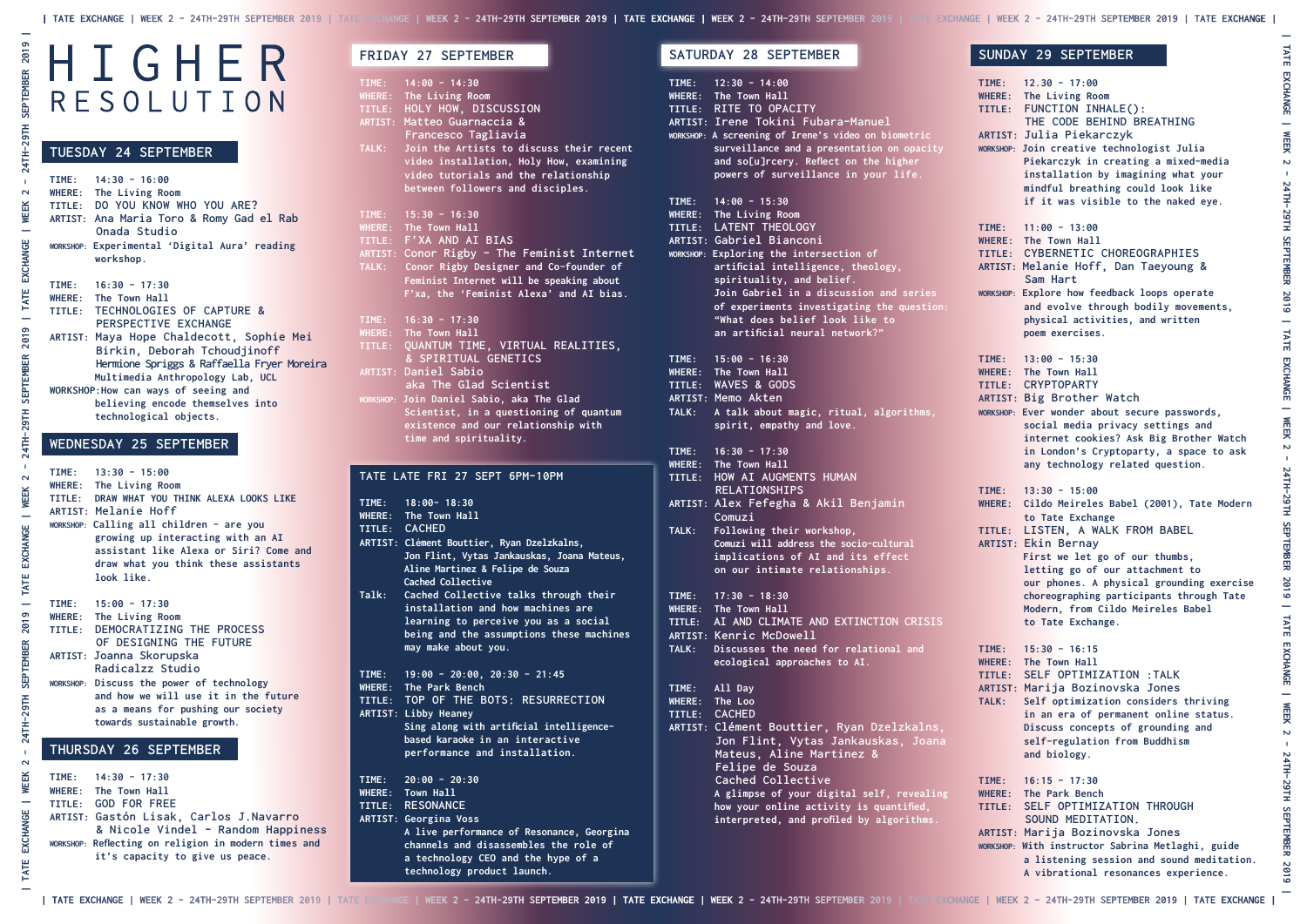# HIGHER RESOLUTION

**ARTIST: Libby Heaney Sing along with artificial intelligence based karaoke in an interactive performance and installation.**

**TIME: 20:00 - 20:30** 

- **WHERE: Town Hall**
- **TITLE: RESONANCE**
- **ARTIST: Georgina Voss**
	- **A live performance of Resonance, Georgina channels and disassembles the role of a technology CEO and the hype of a technology product launch.**

## **TUESDAY 24 SEPTEMBER**

| $TIME: 14:30 - 16:00$<br>WHERE: The Living Room<br>TITLE: DO YOU KNOW WHO YOU ARE?<br>ARTIST: Ana Maria Toro & Romy Gad el Rab<br>Onada Studio<br>WORKSHOP: Experimental 'Digital Aura' reading<br>workshop. |
|--------------------------------------------------------------------------------------------------------------------------------------------------------------------------------------------------------------|
| $TIME: 16:30 - 17:30$                                                                                                                                                                                        |
| WHERE: The Town Hall                                                                                                                                                                                         |
| TITLE: TECHNOLOGIES OF CAPTURE &                                                                                                                                                                             |
| PERSPECTIVE EXCHANGE                                                                                                                                                                                         |
| ARTIST: Maya Hope Chaldecott, Sophie Mei                                                                                                                                                                     |
| Birkin, Deborah Tchoudjinoff                                                                                                                                                                                 |
| Hermione Spriggs & Raffaella Fryer Moreira                                                                                                                                                                   |
| Multimedia Anthropology Lab, UCL                                                                                                                                                                             |
| WORKSHOP: How can ways of seeing and                                                                                                                                                                         |
| believing encode themselves into                                                                                                                                                                             |
| technological objects.                                                                                                                                                                                       |

## **WEDNESDAY 25 SEPTEMBER**

|       | TIME: $14:00 - 14:30$<br>WHERE: The Living Room               |
|-------|---------------------------------------------------------------|
|       | TITLE: HOLY HOW, DISCUSSION                                   |
|       |                                                               |
|       | ARTIST: Matteo Guarnaccia &<br>Francesco Tagliavia            |
| TALK: | Join the Artists to discuss their recent                      |
|       | video installation, Holy How, examining                       |
|       | video tutorials and the relationship                          |
|       | between followers and disciples.                              |
|       |                                                               |
| TIME: | $15:30 - 16:30$                                               |
|       | WHERE: The Town Hall                                          |
|       | TITLE: F'XA AND AI BIAS                                       |
|       | ARTIST: Conor Rigby - The Feminist Internet                   |
| TALK: | Conor Rigby Designer and Co-founder of                        |
|       | Feminist Internet will be speaking about                      |
|       | F'xa, the 'Feminist Alexa' and AI bias.                       |
|       |                                                               |
|       | TIME: $16:30 - 17:30$                                         |
|       | WHERE: The Town Hall                                          |
|       | TITLE: QUANTUM TIME, VIRTUAL REALITIES,                       |
|       | & SPIRITUAL GENETICS                                          |
|       | ARTIST: Daniel Sabio                                          |
|       | aka The Glad Scientist                                        |
|       | WORKSHOP: Join Daniel Sabio, aka The Glad                     |
|       | Scientist, in a questioning of quantum                        |
|       | existence and our relationship with                           |
|       | time and spirituality.                                        |
|       |                                                               |
|       | TATE LATE FRI 27 SEPT 6PM-10PM                                |
|       |                                                               |
|       | TIME: 18:00-18:30                                             |
|       | WHERE: The Town Hall                                          |
|       | TITLE: CACHED                                                 |
|       | ARTIST: Clément Bouttier, Ryan Dzelzkalns,                    |
|       | Jon Flint, Vytas Jankauskas, Joana Mateus,                    |
|       | Aline Martinez & Felipe de Souza                              |
|       | Cached Collective                                             |
| Talk: | Cached Collective talks through their                         |
|       | installation and how machines are                             |
|       |                                                               |
|       |                                                               |
|       | learning to perceive you as a social                          |
|       | being and the assumptions these machines                      |
|       | may make about you.                                           |
|       |                                                               |
|       | TIME: $19:00 - 20:00$ , $20:30 - 21:45$                       |
|       | WHERE: The Park Bench<br>TITLE: TOP OF THE BOTS: RESURRECTION |

| $TIME: 13:30 - 15:00$<br>WHERE: The Living Room<br>TITLE: DRAW WHAT YOU THINK ALEXA LOOKS LIKE<br><b>ARTIST: Melanie Hoff</b><br>WORKSHOP: Calling all children - are you<br>growing up interacting with an AI<br>assistant like Alexa or Siri? Come and<br>draw what you think these assistants<br>look like. |
|----------------------------------------------------------------------------------------------------------------------------------------------------------------------------------------------------------------------------------------------------------------------------------------------------------------|
| $TIME: 15:00 - 17:30$                                                                                                                                                                                                                                                                                          |
| WHERE: The Living Room                                                                                                                                                                                                                                                                                         |
| TITLE: DEMOCRATIZING THE PROCESS<br>OF DESIGNING THE FUTURE                                                                                                                                                                                                                                                    |
| ARTIST: Joanna Skorupska<br>Radicalzz Studio                                                                                                                                                                                                                                                                   |
| WORKSHOP: Discuss the power of technology<br>and how we will use it in the future<br>as a means for pushing our society<br>towards sustainable growth.                                                                                                                                                         |

## **THURSDAY 26 SEPTEMBER**

**TIME: 14:30 - 17:30 WHERE: The Town Hall TITLE: GOD FOR FREE ARTIST: Gastón Lisak, Carlos J.Navarro & Nicole Vindel - Random Happiness WORKSHOP: Reflecting on religion in modern times and it's capacity to give us peace.**

## **FRIDAY 27 SEPTEMBER**

## **SATURDAY 28 SEPTEMBER**

|                                           | $\overline{TIME:}$ 12:30 - 14:00<br>WHERE: The Town Hall<br>TITLE: RITE TO OPACITY<br>ARTIST: Irene Tokini Fubar <u>a-Manuel</u><br>WORKSHOP: A screening of Irene's video on biometric<br>surveillance and a presentation on opacity<br>and so[u]rcery. Reflect on the higher<br>powers of surveillance in your life.                                                                   |
|-------------------------------------------|------------------------------------------------------------------------------------------------------------------------------------------------------------------------------------------------------------------------------------------------------------------------------------------------------------------------------------------------------------------------------------------|
| TIME:                                     | $14:00 - 15:30$<br><b>WHERE:</b> The Living Room<br>TITLE: LATENT THEOLOGY<br><b>ARTIST: Gabriel Bianconi</b><br>WORKSHOP: Exploring the intersection of<br>artificial intelligence, theology,<br>spirituality, and belief.<br>Join Gabriel in a discussion and series<br>of experiments investigating the question:<br>"What does belief look like to<br>an artificial neural network?" |
| TIME:<br><b>WHERE:</b><br>TALK:           | $15:00 - 16:30$<br>The Town Hall<br>TITLE: WAVES & GODS<br><b>ARTIST: Memo Akten</b><br>A talk about magic, ritual, algorithms,<br>spirit, empathy and love.                                                                                                                                                                                                                             |
| TIME:<br><b>WHERE:</b><br>TITLE:<br>TALK: | $16:30 - 17:30$<br>The Town Hall<br>HOW AI AUGMENTS HUMAN<br><b>RELATIONSHIPS</b><br>ARTIST: Alex Fefegha & Akil Benjamin<br>Comuzi<br>Following their workshop,                                                                                                                                                                                                                         |
|                                           | Comuzi will address the socio-cultural<br>implications of AI and its effect<br>on our intimate relationships.                                                                                                                                                                                                                                                                            |
| TIME:<br>WHERE:<br>TALK:                  | $17:30 - 18:30$<br>The Town Hall<br>TITLE: AI AND CLIMATE AND EXTINCTION CRISIS<br>ARTIST: Kenric McDowell<br>Discusses the need for relational and<br>ecological approaches to AI.                                                                                                                                                                                                      |
| TIME:<br><b>WHERE:</b>                    | All Day<br>The Loo<br>TITLE: CACHED<br>ARTIST: Clément Bouttier, Ryan Dzelzkalns,<br>Jon Flint, Vytas Jankauskas, Joana<br>Mateus, Aline Martinez &<br>Felipe de Souza<br>Cached Collective<br>A glimpse of your digital self, revealing<br>how your online activity is quantified,<br>interpreted, and profiled by algorithms.                                                          |

## **SUNDAY 29 SEPTEMBER**

| <b>TIME:</b>                                   | $12.30 - 17:00$<br>WHERE: The Living Room<br>TITLE: FUNCTION INHALE():<br>THE CODE BEHIND BREATHING<br><b>ARTIST: Julia Piekarczyk</b><br>WORKSHOP: Join creative technologist Julia<br>Piekarczyk in creating a mixed-media<br>installation by imagining what your<br>mindful breathing could look like<br>if it was visible to the naked eye.                           |
|------------------------------------------------|---------------------------------------------------------------------------------------------------------------------------------------------------------------------------------------------------------------------------------------------------------------------------------------------------------------------------------------------------------------------------|
| <b>TIME:</b>                                   | $11:00 - 13:00$<br>WHERE: The Town Hall<br>TITLE: CYBERNETIC CHOREOGRAPHIES<br>ARTIST: Melanie Hoff, Dan Taeyoung &<br>Sam Hart<br>WORKSHOP: Explore how feedback loops operate<br>and evolve through bodily movements,<br>physical activities, and written<br>poem exercises.                                                                                            |
| <b>TIME:</b>                                   | $13:00 - 15:30$<br>WHERE: The Town Hall<br>TITLE: CRYPTOPARTY<br><b>ARTIST: Big Brother Watch</b><br>WORKSHOP: Ever wonder about secure passwords,<br>social media privacy settings and<br>internet cookies? Ask Big Brother Watch<br>in London's Cryptoparty, a space to ask<br>any technology related question.                                                         |
| <b>TIME:</b><br>WHERE:                         | $13:30 - 15:00$<br>Cildo Meireles Babel (2001), Tate Modern<br>to Tate Exchange<br>TITLE: LISTEN, A WALK FROM BABEL<br><b>ARTIST: Ekin Bernay</b><br>First we let go of our thumbs,<br>letting go of our attachment to<br>our phones. A physical grounding exercise<br>choreographing participants through Tate<br>Modern, from Cildo Meireles Babel<br>to Tate Exchange. |
| TIME:<br><b>WHERE:</b><br>TITLE:<br>TALK:      | $15:30 - 16:15$<br>The Town Hall<br>SELF OPTIMIZATION : TALK<br>ARTIST: Marija Bozinovska Jones<br>Self optimization considers thriving<br>in an era of permanent online status.<br>Discuss concepts of grounding and<br>self-regulation from Buddhism<br>and biology.                                                                                                    |
| <b>TIME:</b><br><b>WHERE:</b><br><b>TITLE:</b> | $16:15 - 17:30$<br>The Park Bench<br>SELF OPTIMIZATION THROUGH<br>SOUND MEDITATION.<br>ARTIST: Marija Bozinovska Jones<br>WORKSHOP: With instructor Sabrina Metlaghi, guide<br>a listening session and sound meditation.<br>A vibrational resonances experience.                                                                                                          |